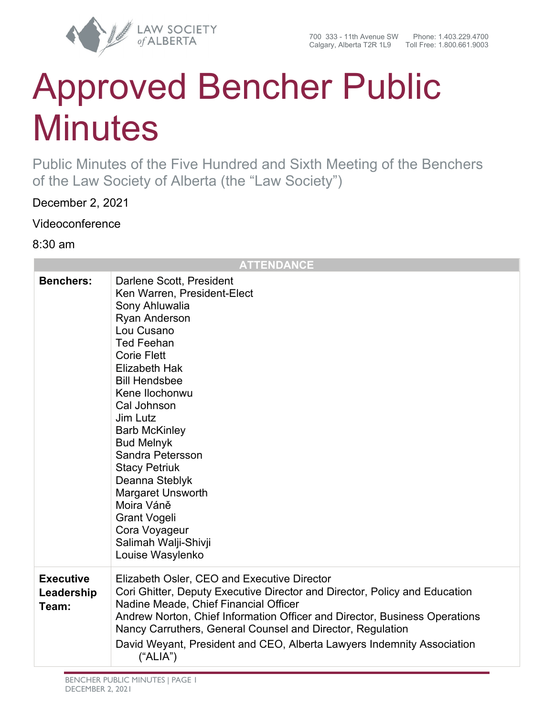

# Approved Bencher Public **Minutes**

Public Minutes of the Five Hundred and Sixth Meeting of the Benchers of the Law Society of Alberta (the "Law Society")

December 2, 2021

Videoconference

8:30 am

|                                         | <b>ATTENDANCE</b>                                                                                                                                                                                                                                                                                                                                                                                                                                                                                |
|-----------------------------------------|--------------------------------------------------------------------------------------------------------------------------------------------------------------------------------------------------------------------------------------------------------------------------------------------------------------------------------------------------------------------------------------------------------------------------------------------------------------------------------------------------|
| <b>Benchers:</b>                        | Darlene Scott, President<br>Ken Warren, President-Elect<br>Sony Ahluwalia<br><b>Ryan Anderson</b><br>Lou Cusano<br><b>Ted Feehan</b><br><b>Corie Flett</b><br><b>Elizabeth Hak</b><br><b>Bill Hendsbee</b><br>Kene Ilochonwu<br>Cal Johnson<br>Jim Lutz<br><b>Barb McKinley</b><br><b>Bud Melnyk</b><br>Sandra Petersson<br><b>Stacy Petriuk</b><br>Deanna Steblyk<br><b>Margaret Unsworth</b><br>Moira Váně<br><b>Grant Vogeli</b><br>Cora Voyageur<br>Salimah Walji-Shivji<br>Louise Wasylenko |
| <b>Executive</b><br>Leadership<br>Team: | Elizabeth Osler, CEO and Executive Director<br>Cori Ghitter, Deputy Executive Director and Director, Policy and Education<br>Nadine Meade, Chief Financial Officer<br>Andrew Norton, Chief Information Officer and Director, Business Operations<br>Nancy Carruthers, General Counsel and Director, Regulation<br>David Weyant, President and CEO, Alberta Lawyers Indemnity Association<br>("ALIA")                                                                                             |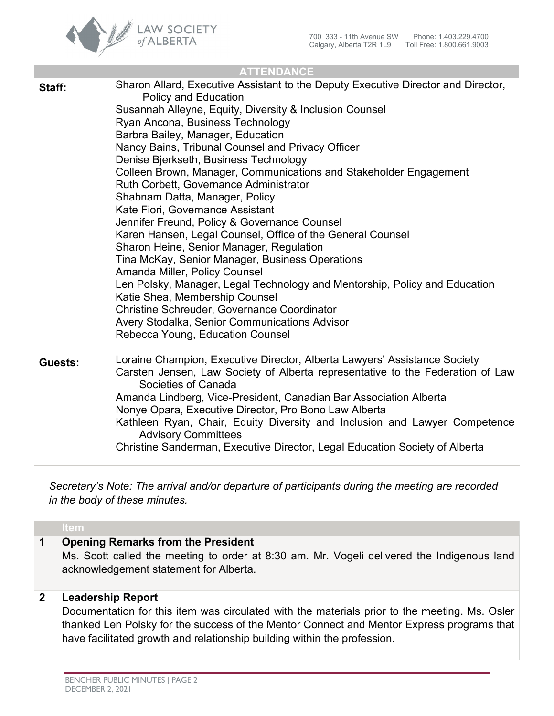

| <b>ATTENDANCE</b> |                                                                                                                                                                                                                                                                                                                                                                                                                                                                                                                                                                                                                                                                                                                                                                                                                                                                                                                                                                                                                                                  |  |
|-------------------|--------------------------------------------------------------------------------------------------------------------------------------------------------------------------------------------------------------------------------------------------------------------------------------------------------------------------------------------------------------------------------------------------------------------------------------------------------------------------------------------------------------------------------------------------------------------------------------------------------------------------------------------------------------------------------------------------------------------------------------------------------------------------------------------------------------------------------------------------------------------------------------------------------------------------------------------------------------------------------------------------------------------------------------------------|--|
| Staff:            | Sharon Allard, Executive Assistant to the Deputy Executive Director and Director,<br><b>Policy and Education</b><br>Susannah Alleyne, Equity, Diversity & Inclusion Counsel<br>Ryan Ancona, Business Technology<br>Barbra Bailey, Manager, Education<br>Nancy Bains, Tribunal Counsel and Privacy Officer<br>Denise Bjerkseth, Business Technology<br>Colleen Brown, Manager, Communications and Stakeholder Engagement<br>Ruth Corbett, Governance Administrator<br>Shabnam Datta, Manager, Policy<br>Kate Fiori, Governance Assistant<br>Jennifer Freund, Policy & Governance Counsel<br>Karen Hansen, Legal Counsel, Office of the General Counsel<br>Sharon Heine, Senior Manager, Regulation<br>Tina McKay, Senior Manager, Business Operations<br>Amanda Miller, Policy Counsel<br>Len Polsky, Manager, Legal Technology and Mentorship, Policy and Education<br>Katie Shea, Membership Counsel<br><b>Christine Schreuder, Governance Coordinator</b><br>Avery Stodalka, Senior Communications Advisor<br>Rebecca Young, Education Counsel |  |
| Guests:           | Loraine Champion, Executive Director, Alberta Lawyers' Assistance Society<br>Carsten Jensen, Law Society of Alberta representative to the Federation of Law<br>Societies of Canada<br>Amanda Lindberg, Vice-President, Canadian Bar Association Alberta<br>Nonye Opara, Executive Director, Pro Bono Law Alberta<br>Kathleen Ryan, Chair, Equity Diversity and Inclusion and Lawyer Competence<br><b>Advisory Committees</b><br>Christine Sanderman, Executive Director, Legal Education Society of Alberta                                                                                                                                                                                                                                                                                                                                                                                                                                                                                                                                      |  |

*Secretary's Note: The arrival and/or departure of participants during the meeting are recorded in the body of these minutes.*

## **Item**

## **1 Opening Remarks from the President**

Ms. Scott called the meeting to order at 8:30 am. Mr. Vogeli delivered the Indigenous land acknowledgement statement for Alberta.

# **2 Leadership Report**

Documentation for this item was circulated with the materials prior to the meeting. Ms. Osler thanked Len Polsky for the success of the Mentor Connect and Mentor Express programs that have facilitated growth and relationship building within the profession.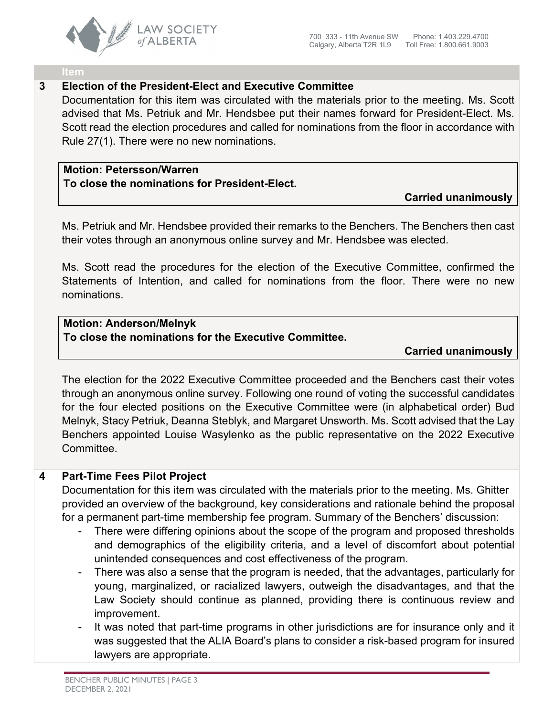

#### **Item**

## **3 Election of the President-Elect and Executive Committee**

Documentation for this item was circulated with the materials prior to the meeting. Ms. Scott advised that Ms. Petriuk and Mr. Hendsbee put their names forward for President-Elect. Ms. Scott read the election procedures and called for nominations from the floor in accordance with Rule 27(1). There were no new nominations.

# **Motion: Petersson/Warren To close the nominations for President-Elect.**

## **Carried unanimously**

Ms. Petriuk and Mr. Hendsbee provided their remarks to the Benchers. The Benchers then cast their votes through an anonymous online survey and Mr. Hendsbee was elected.

Ms. Scott read the procedures for the election of the Executive Committee, confirmed the Statements of Intention, and called for nominations from the floor. There were no new nominations.

# **Motion: Anderson/Melnyk To close the nominations for the Executive Committee.**

## **Carried unanimously**

The election for the 2022 Executive Committee proceeded and the Benchers cast their votes through an anonymous online survey. Following one round of voting the successful candidates for the four elected positions on the Executive Committee were (in alphabetical order) Bud Melnyk, Stacy Petriuk, Deanna Steblyk, and Margaret Unsworth. Ms. Scott advised that the Lay Benchers appointed Louise Wasylenko as the public representative on the 2022 Executive Committee.

# **4 Part-Time Fees Pilot Project**

Documentation for this item was circulated with the materials prior to the meeting. Ms. Ghitter provided an overview of the background, key considerations and rationale behind the proposal for a permanent part-time membership fee program. Summary of the Benchers' discussion:

- There were differing opinions about the scope of the program and proposed thresholds and demographics of the eligibility criteria, and a level of discomfort about potential unintended consequences and cost effectiveness of the program.
- There was also a sense that the program is needed, that the advantages, particularly for young, marginalized, or racialized lawyers, outweigh the disadvantages, and that the Law Society should continue as planned, providing there is continuous review and improvement.
- It was noted that part-time programs in other jurisdictions are for insurance only and it was suggested that the ALIA Board's plans to consider a risk-based program for insured lawyers are appropriate.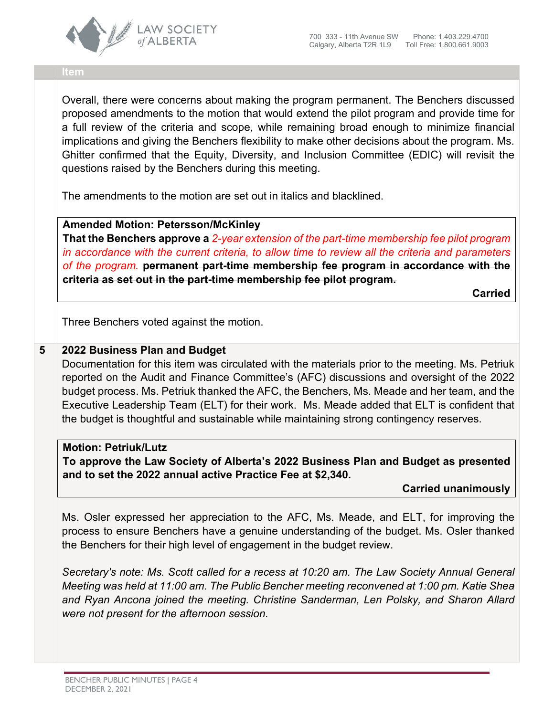

#### **Item**

Overall, there were concerns about making the program permanent. The Benchers discussed proposed amendments to the motion that would extend the pilot program and provide time for a full review of the criteria and scope, while remaining broad enough to minimize financial implications and giving the Benchers flexibility to make other decisions about the program. Ms. Ghitter confirmed that the Equity, Diversity, and Inclusion Committee (EDIC) will revisit the questions raised by the Benchers during this meeting.

The amendments to the motion are set out in italics and blacklined.

**Amended Motion: Petersson/McKinley**

**That the Benchers approve a** *2-year extension of the part-time membership fee pilot program in accordance with the current criteria, to allow time to review all the criteria and parameters of the program.* **permanent part-time membership fee program in accordance with the criteria as set out in the part-time membership fee pilot program.**

**Carried**

Three Benchers voted against the motion.

## **5 2022 Business Plan and Budget**

Documentation for this item was circulated with the materials prior to the meeting. Ms. Petriuk reported on the Audit and Finance Committee's (AFC) discussions and oversight of the 2022 budget process. Ms. Petriuk thanked the AFC, the Benchers, Ms. Meade and her team, and the Executive Leadership Team (ELT) for their work. Ms. Meade added that ELT is confident that the budget is thoughtful and sustainable while maintaining strong contingency reserves.

**Motion: Petriuk/Lutz To approve the Law Society of Alberta's 2022 Business Plan and Budget as presented and to set the 2022 annual active Practice Fee at \$2,340.**

**Carried unanimously**

Ms. Osler expressed her appreciation to the AFC, Ms. Meade, and ELT, for improving the process to ensure Benchers have a genuine understanding of the budget. Ms. Osler thanked the Benchers for their high level of engagement in the budget review.

*Secretary's note: Ms. Scott called for a recess at 10:20 am. The Law Society Annual General Meeting was held at 11:00 am. The Public Bencher meeting reconvened at 1:00 pm. Katie Shea and Ryan Ancona joined the meeting. Christine Sanderman, Len Polsky, and Sharon Allard were not present for the afternoon session.*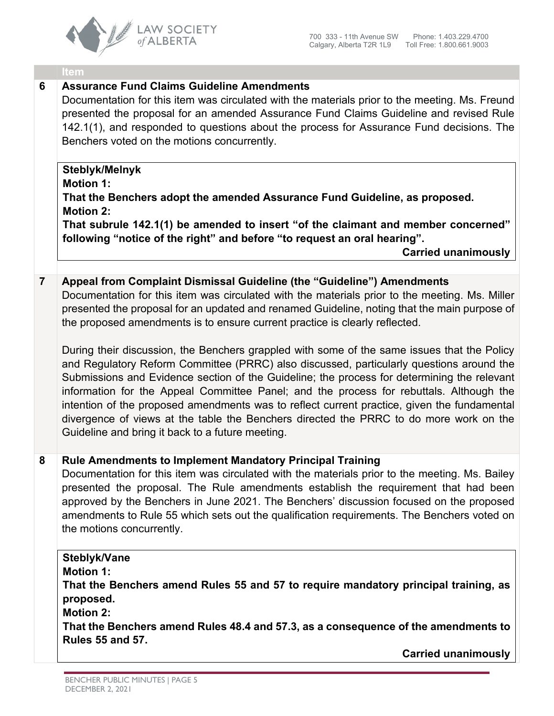

#### **Item**

# **6 Assurance Fund Claims Guideline Amendments**

Documentation for this item was circulated with the materials prior to the meeting. Ms. Freund presented the proposal for an amended Assurance Fund Claims Guideline and revised Rule 142.1(1), and responded to questions about the process for Assurance Fund decisions. The Benchers voted on the motions concurrently.

## **Steblyk/Melnyk**

### **Motion 1:**

**That the Benchers adopt the amended Assurance Fund Guideline, as proposed. Motion 2:** 

**That subrule 142.1(1) be amended to insert "of the claimant and member concerned" following "notice of the right" and before "to request an oral hearing".**

**Carried unanimously**

## **7 Appeal from Complaint Dismissal Guideline (the "Guideline") Amendments**

Documentation for this item was circulated with the materials prior to the meeting. Ms. Miller presented the proposal for an updated and renamed Guideline, noting that the main purpose of the proposed amendments is to ensure current practice is clearly reflected.

During their discussion, the Benchers grappled with some of the same issues that the Policy and Regulatory Reform Committee (PRRC) also discussed, particularly questions around the Submissions and Evidence section of the Guideline; the process for determining the relevant information for the Appeal Committee Panel; and the process for rebuttals. Although the intention of the proposed amendments was to reflect current practice, given the fundamental divergence of views at the table the Benchers directed the PRRC to do more work on the Guideline and bring it back to a future meeting.

## **8 Rule Amendments to Implement Mandatory Principal Training**

Documentation for this item was circulated with the materials prior to the meeting. Ms. Bailey presented the proposal. The Rule amendments establish the requirement that had been approved by the Benchers in June 2021. The Benchers' discussion focused on the proposed amendments to Rule 55 which sets out the qualification requirements. The Benchers voted on the motions concurrently.

## **Steblyk/Vane**

**Motion 1:**

**That the Benchers amend Rules 55 and 57 to require mandatory principal training, as proposed.** 

**Motion 2:**

**That the Benchers amend Rules 48.4 and 57.3, as a consequence of the amendments to Rules 55 and 57.**

**Carried unanimously**